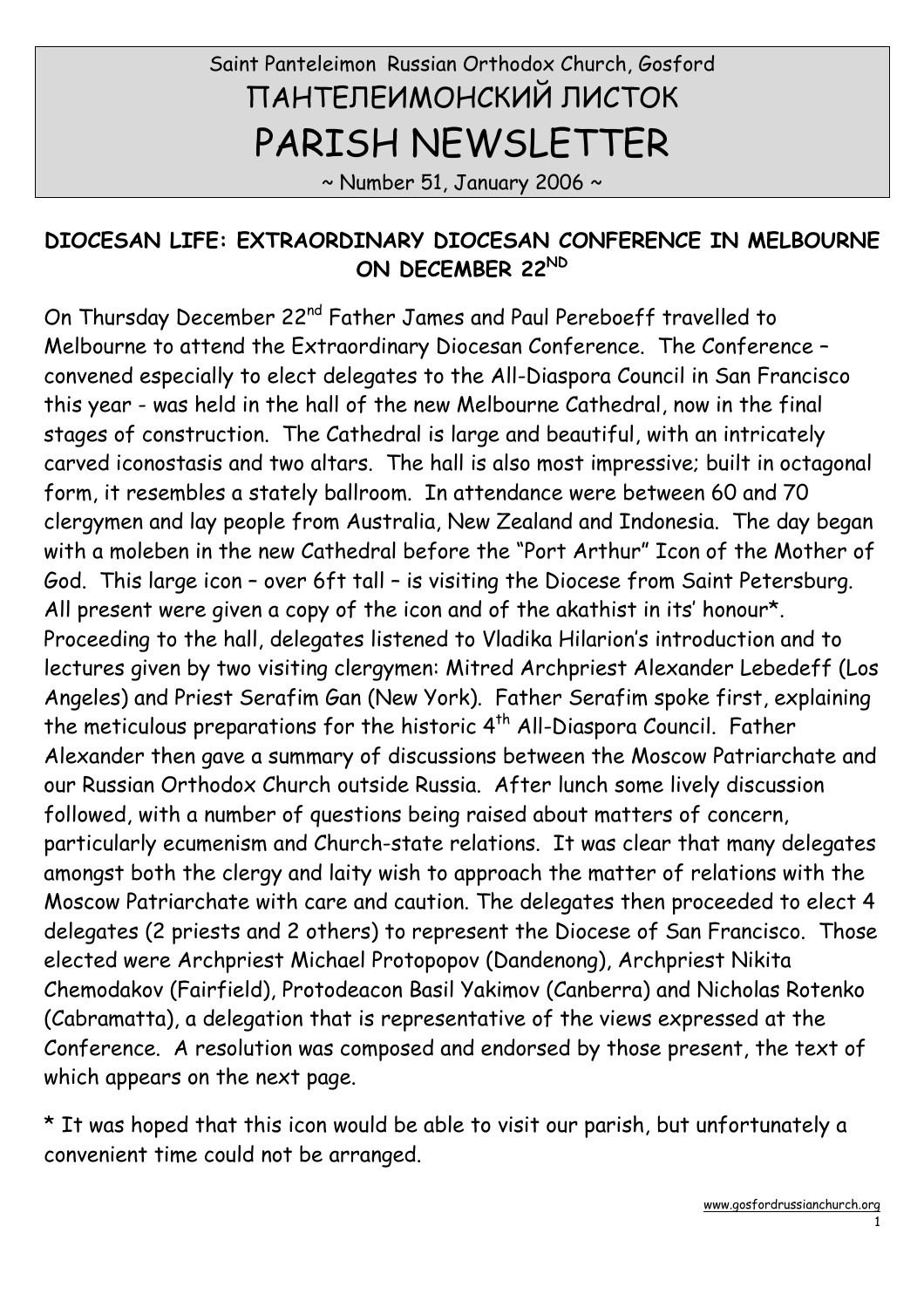# Saint Panteleimon Russian Orthodox Church, Gosford ПАНТЕЛЕИМОНСКИЙ ЛИСТОК PARISH NEWSLETTER

 $\sim$  Number 51, January 2006  $\sim$ 

#### DIOCESAN LIFE: EXTRAORDINARY DIOCESAN CONFERENCE IN MELBOURNE ON DECEMBER 22ND

On Thursday December 22nd Father James and Paul Pereboeff travelled to Melbourne to attend the Extraordinary Diocesan Conference. The Conference – convened especially to elect delegates to the All-Diaspora Council in San Francisco this year - was held in the hall of the new Melbourne Cathedral, now in the final stages of construction. The Cathedral is large and beautiful, with an intricately carved iconostasis and two altars. The hall is also most impressive; built in octagonal form, it resembles a stately ballroom. In attendance were between 60 and 70 clergymen and lay people from Australia, New Zealand and Indonesia. The day began with a moleben in the new Cathedral before the "Port Arthur" Icon of the Mother of God. This large icon – over 6ft tall – is visiting the Diocese from Saint Petersburg. All present were given a copy of the icon and of the akathist in its' honour\*. Proceeding to the hall, delegates listened to Vladika Hilarion's introduction and to lectures given by two visiting clergymen: Mitred Archpriest Alexander Lebedeff (Los Angeles) and Priest Serafim Gan (New York). Father Serafim spoke first, explaining the meticulous preparations for the historic 4<sup>th</sup> All-Diaspora Council. Father Alexander then gave a summary of discussions between the Moscow Patriarchate and our Russian Orthodox Church outside Russia. After lunch some lively discussion followed, with a number of questions being raised about matters of concern, particularly ecumenism and Church-state relations. It was clear that many delegates amongst both the clergy and laity wish to approach the matter of relations with the Moscow Patriarchate with care and caution. The delegates then proceeded to elect 4 delegates (2 priests and 2 others) to represent the Diocese of San Francisco. Those elected were Archpriest Michael Protopopov (Dandenong), Archpriest Nikita Chemodakov (Fairfield), Protodeacon Basil Yakimov (Canberra) and Nicholas Rotenko (Cabramatta), a delegation that is representative of the views expressed at the Conference. A resolution was composed and endorsed by those present, the text of which appears on the next page.

\* It was hoped that this icon would be able to visit our parish, but unfortunately a convenient time could not be arranged.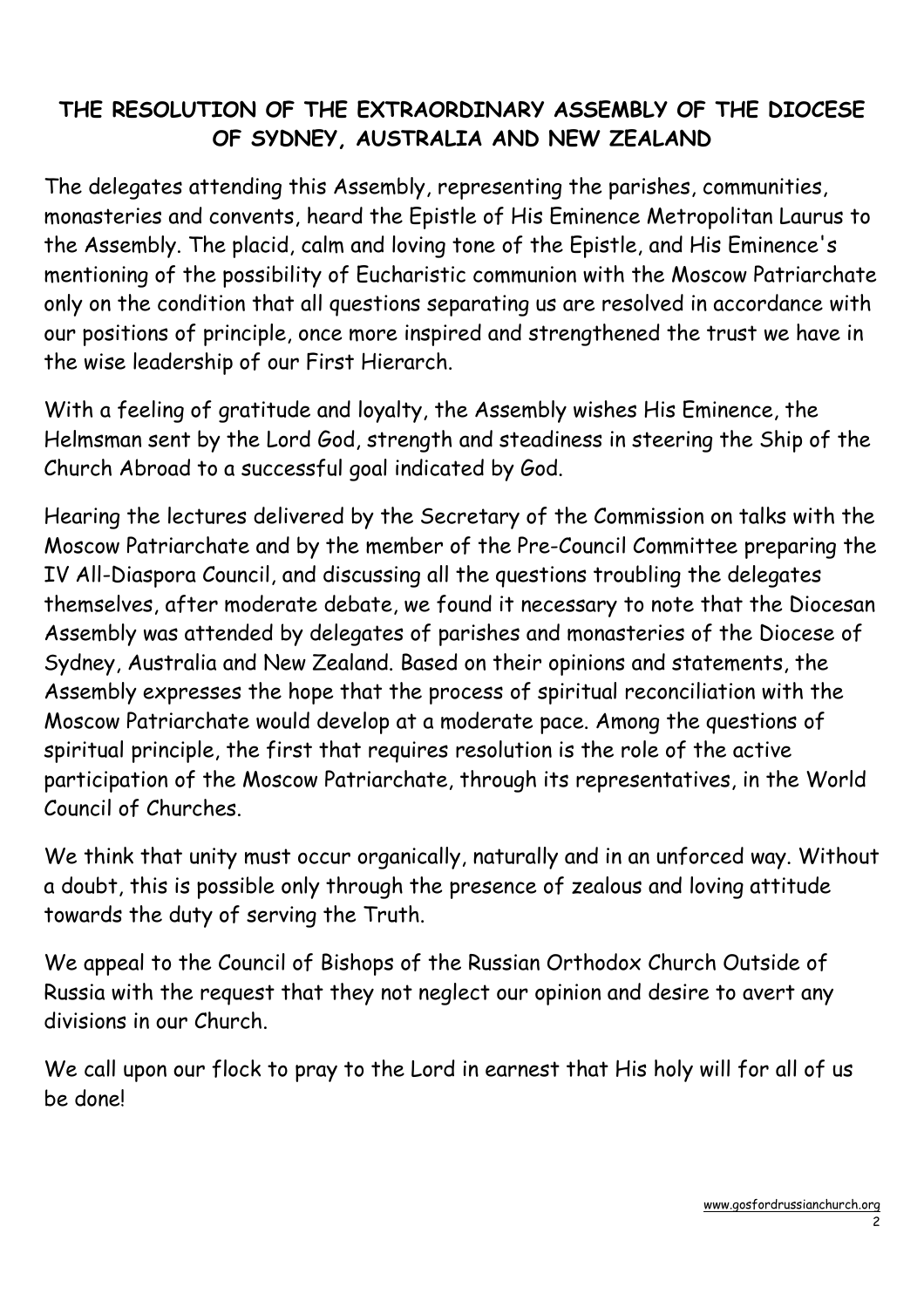# THE RESOLUTION OF THE EXTRAORDINARY ASSEMBLY OF THE DIOCESE OF SYDNEY, AUSTRALIA AND NEW ZEALAND

The delegates attending this Assembly, representing the parishes, communities, monasteries and convents, heard the Epistle of His Eminence Metropolitan Laurus to the Assembly. The placid, calm and loving tone of the Epistle, and His Eminence's mentioning of the possibility of Eucharistic communion with the Moscow Patriarchate only on the condition that all questions separating us are resolved in accordance with our positions of principle, once more inspired and strengthened the trust we have in the wise leadership of our First Hierarch.

With a feeling of gratitude and loyalty, the Assembly wishes His Eminence, the Helmsman sent by the Lord God, strength and steadiness in steering the Ship of the Church Abroad to a successful goal indicated by God.

Hearing the lectures delivered by the Secretary of the Commission on talks with the Moscow Patriarchate and by the member of the Pre-Council Committee preparing the IV All-Diaspora Council, and discussing all the questions troubling the delegates themselves, after moderate debate, we found it necessary to note that the Diocesan Assembly was attended by delegates of parishes and monasteries of the Diocese of Sydney, Australia and New Zealand. Based on their opinions and statements, the Assembly expresses the hope that the process of spiritual reconciliation with the Moscow Patriarchate would develop at a moderate pace. Among the questions of spiritual principle, the first that requires resolution is the role of the active participation of the Moscow Patriarchate, through its representatives, in the World Council of Churches.

We think that unity must occur organically, naturally and in an unforced way. Without a doubt, this is possible only through the presence of zealous and loving attitude towards the duty of serving the Truth.

We appeal to the Council of Bishops of the Russian Orthodox Church Outside of Russia with the request that they not neglect our opinion and desire to avert any divisions in our Church.

We call upon our flock to pray to the Lord in earnest that His holy will for all of us be done!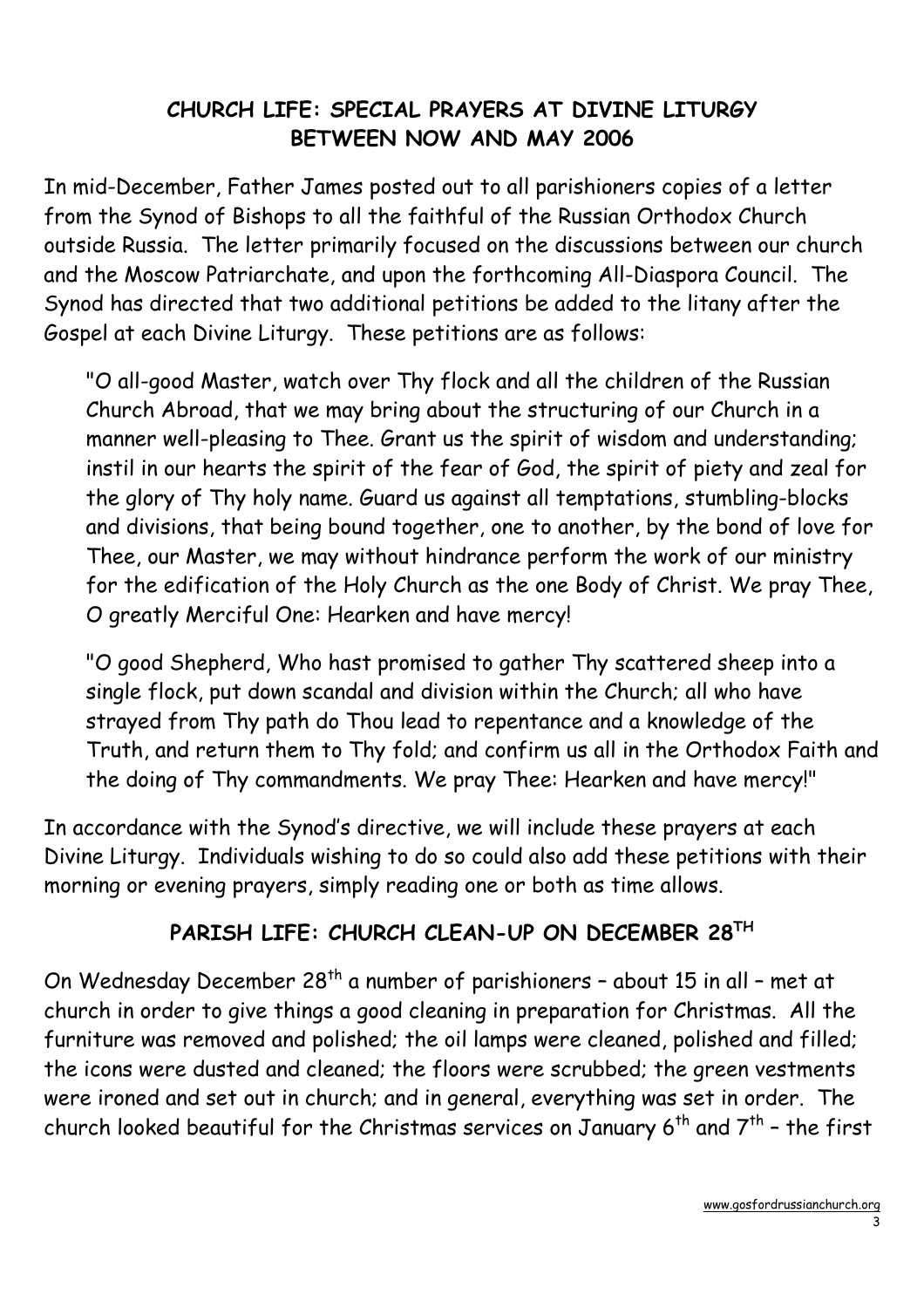#### CHURCH LIFE: SPECIAL PRAYERS AT DIVINE LITURGY BETWEEN NOW AND MAY 2006

In mid-December, Father James posted out to all parishioners copies of a letter from the Synod of Bishops to all the faithful of the Russian Orthodox Church outside Russia. The letter primarily focused on the discussions between our church and the Moscow Patriarchate, and upon the forthcoming All-Diaspora Council. The Synod has directed that two additional petitions be added to the litany after the Gospel at each Divine Liturgy. These petitions are as follows:

"O all-good Master, watch over Thy flock and all the children of the Russian Church Abroad, that we may bring about the structuring of our Church in a manner well-pleasing to Thee. Grant us the spirit of wisdom and understanding; instil in our hearts the spirit of the fear of God, the spirit of piety and zeal for the glory of Thy holy name. Guard us against all temptations, stumbling-blocks and divisions, that being bound together, one to another, by the bond of love for Thee, our Master, we may without hindrance perform the work of our ministry for the edification of the Holy Church as the one Body of Christ. We pray Thee, O greatly Merciful One: Hearken and have mercy!

"O good Shepherd, Who hast promised to gather Thy scattered sheep into a single flock, put down scandal and division within the Church; all who have strayed from Thy path do Thou lead to repentance and a knowledge of the Truth, and return them to Thy fold; and confirm us all in the Orthodox Faith and the doing of Thy commandments. We pray Thee: Hearken and have mercy!"

In accordance with the Synod's directive, we will include these prayers at each Divine Liturgy. Individuals wishing to do so could also add these petitions with their morning or evening prayers, simply reading one or both as time allows.

#### PARISH LIFE: CHURCH CLEAN-UP ON DECEMBER 28TH

On Wednesday December  $28<sup>th</sup>$  a number of parishioners - about 15 in all - met at church in order to give things a good cleaning in preparation for Christmas. All the furniture was removed and polished; the oil lamps were cleaned, polished and filled; the icons were dusted and cleaned; the floors were scrubbed; the green vestments were ironed and set out in church; and in general, everything was set in order. The church looked beautiful for the Christmas services on January  $6^{th}$  and  $7^{th}$  - the first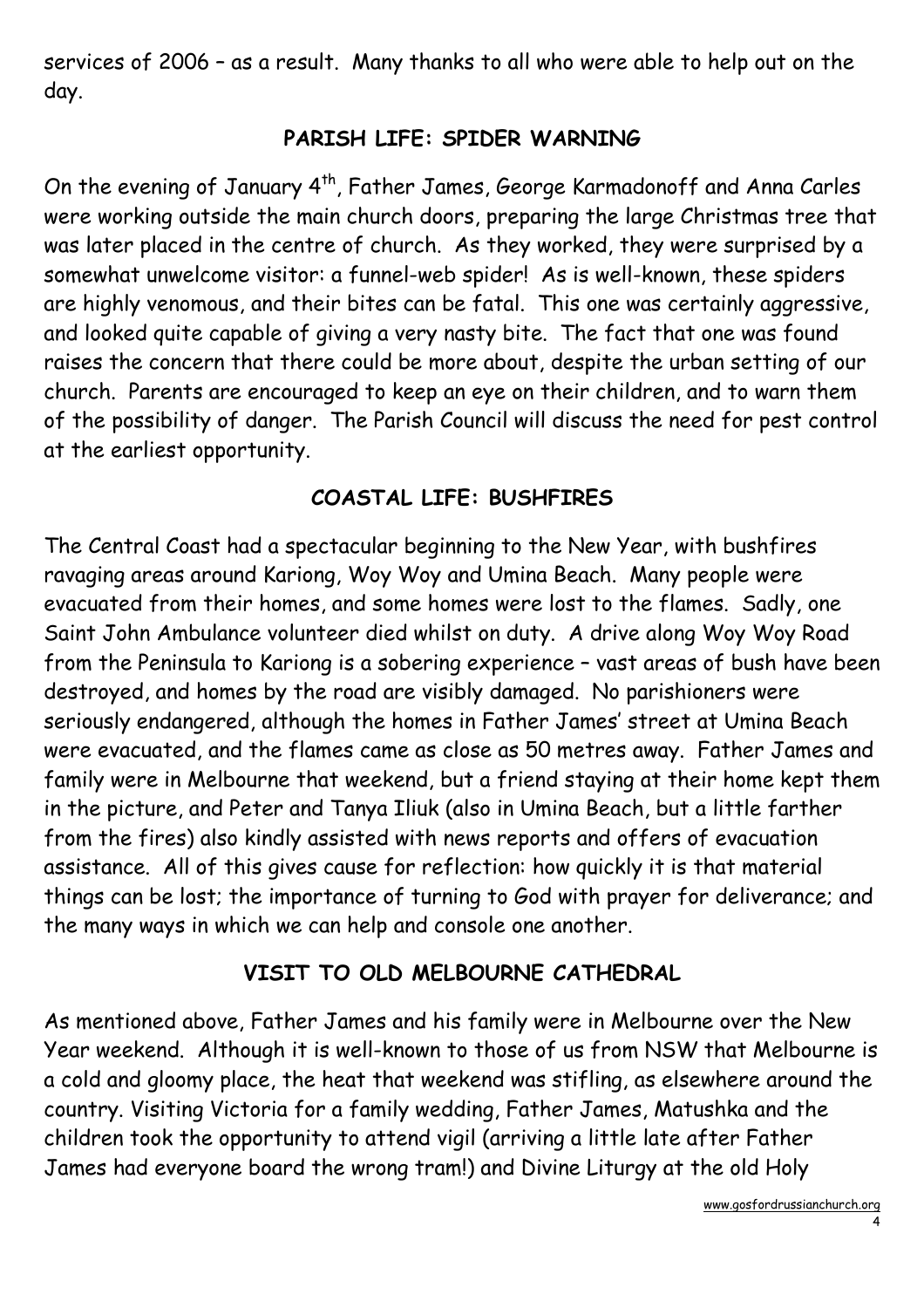services of 2006 – as a result. Many thanks to all who were able to help out on the day.

#### PARISH LIFE: SPIDER WARNING

On the evening of January 4<sup>th</sup>, Father James, George Karmadonoff and Anna Carles were working outside the main church doors, preparing the large Christmas tree that was later placed in the centre of church. As they worked, they were surprised by a somewhat unwelcome visitor: a funnel-web spider! As is well-known, these spiders are highly venomous, and their bites can be fatal. This one was certainly aggressive, and looked quite capable of giving a very nasty bite. The fact that one was found raises the concern that there could be more about, despite the urban setting of our church. Parents are encouraged to keep an eye on their children, and to warn them of the possibility of danger. The Parish Council will discuss the need for pest control at the earliest opportunity.

# COASTAL LIFE: BUSHFIRES

The Central Coast had a spectacular beginning to the New Year, with bushfires ravaging areas around Kariong, Woy Woy and Umina Beach. Many people were evacuated from their homes, and some homes were lost to the flames. Sadly, one Saint John Ambulance volunteer died whilst on duty. A drive along Woy Woy Road from the Peninsula to Kariong is a sobering experience – vast areas of bush have been destroyed, and homes by the road are visibly damaged. No parishioners were seriously endangered, although the homes in Father James' street at Umina Beach were evacuated, and the flames came as close as 50 metres away. Father James and family were in Melbourne that weekend, but a friend staying at their home kept them in the picture, and Peter and Tanya Iliuk (also in Umina Beach, but a little farther from the fires) also kindly assisted with news reports and offers of evacuation assistance. All of this gives cause for reflection: how quickly it is that material things can be lost; the importance of turning to God with prayer for deliverance; and the many ways in which we can help and console one another.

# VISIT TO OLD MELBOURNE CATHEDRAL

As mentioned above, Father James and his family were in Melbourne over the New Year weekend. Although it is well-known to those of us from NSW that Melbourne is a cold and gloomy place, the heat that weekend was stifling, as elsewhere around the country. Visiting Victoria for a family wedding, Father James, Matushka and the children took the opportunity to attend vigil (arriving a little late after Father James had everyone board the wrong tram!) and Divine Liturgy at the old Holy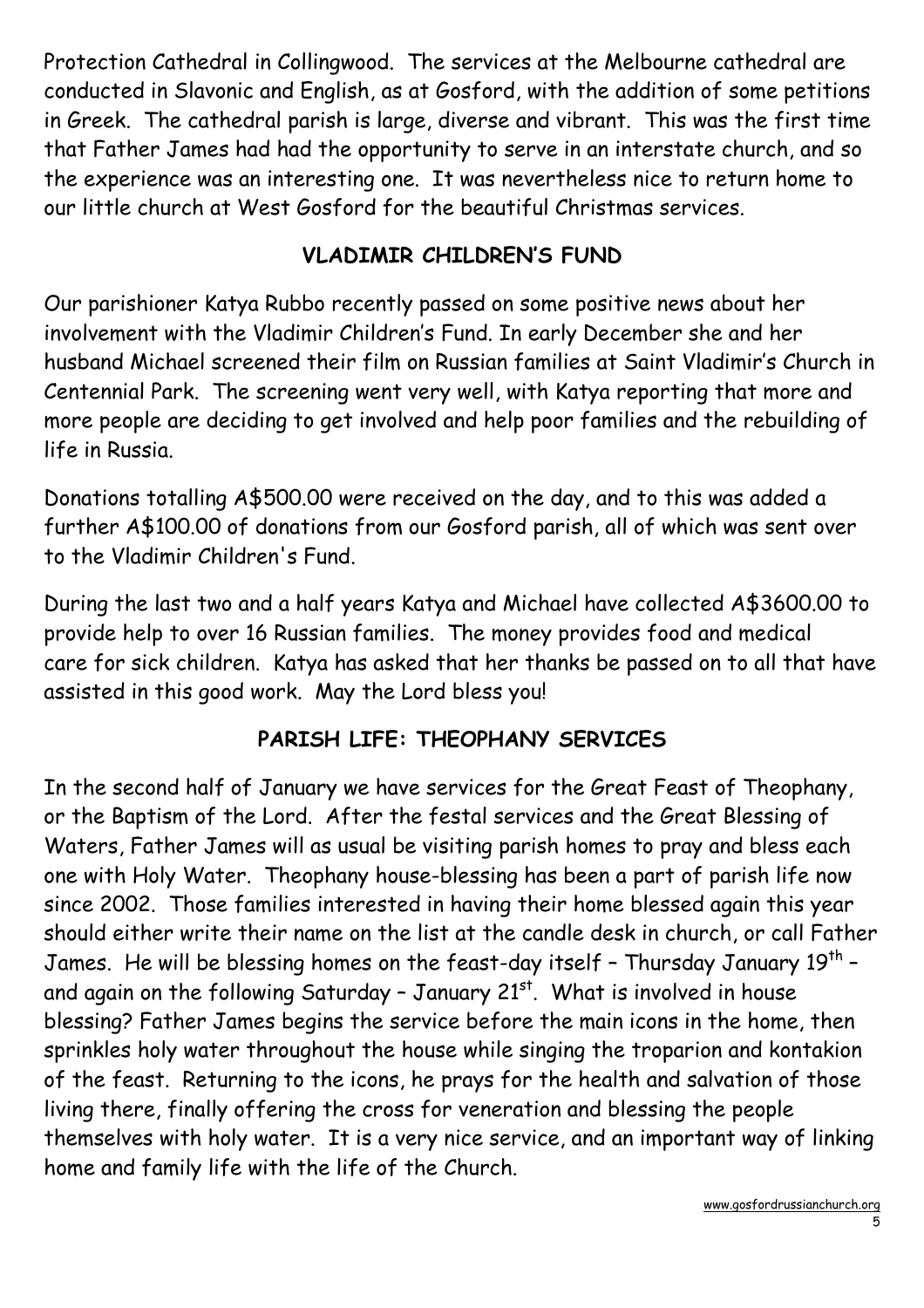Protection Cathedral in Collingwood. The services at the Melbourne cathedral are conducted in Slavonic and English, as at Gosford, with the addition of some petitions in Greek. The cathedral parish is large, diverse and vibrant. This was the first time that Father James had had the opportunity to serve in an interstate church, and so the experience was an interesting one. It was nevertheless nice to return home to our little church at West Gosford for the beautiful Christmas services.

# VLADIMIR CHILDREN'S FUND

Our parishioner Katya Rubbo recently passed on some positive news about her involvement with the Vladimir Children's Fund. In early December she and her husband Michael screened their film on Russian families at Saint Vladimir's Church in Centennial Park. The screening went very well, with Katya reporting that more and more people are deciding to get involved and help poor families and the rebuilding of life in Russia.

Donations totalling A\$500.00 were received on the day, and to this was added a further A\$100.00 of donations from our Gosford parish, all of which was sent over to the Vladimir Children's Fund.

During the last two and a half years Katya and Michael have collected A\$3600.00 to provide help to over 16 Russian families. The money provides food and medical care for sick children. Katya has asked that her thanks be passed on to all that have assisted in this good work. May the Lord bless you!

#### PARISH LIFE: THEOPHANY SERVICES

In the second half of January we have services for the Great Feast of Theophany, or the Baptism of the Lord. After the festal services and the Great Blessing of Waters, Father James will as usual be visiting parish homes to pray and bless each one with Holy Water. Theophany house-blessing has been a part of parish life now since 2002. Those families interested in having their home blessed again this year should either write their name on the list at the candle desk in church, or call Father James. He will be blessing homes on the feast-day itself - Thursday January 19 $^{\sf th}$  and again on the following Saturday - January  $21^{st}$ . What is involved in house blessing? Father James begins the service before the main icons in the home, then sprinkles holy water throughout the house while singing the troparion and kontakion of the feast. Returning to the icons, he prays for the health and salvation of those living there, finally offering the cross for veneration and blessing the people themselves with holy water. It is a very nice service, and an important way of linking home and family life with the life of the Church.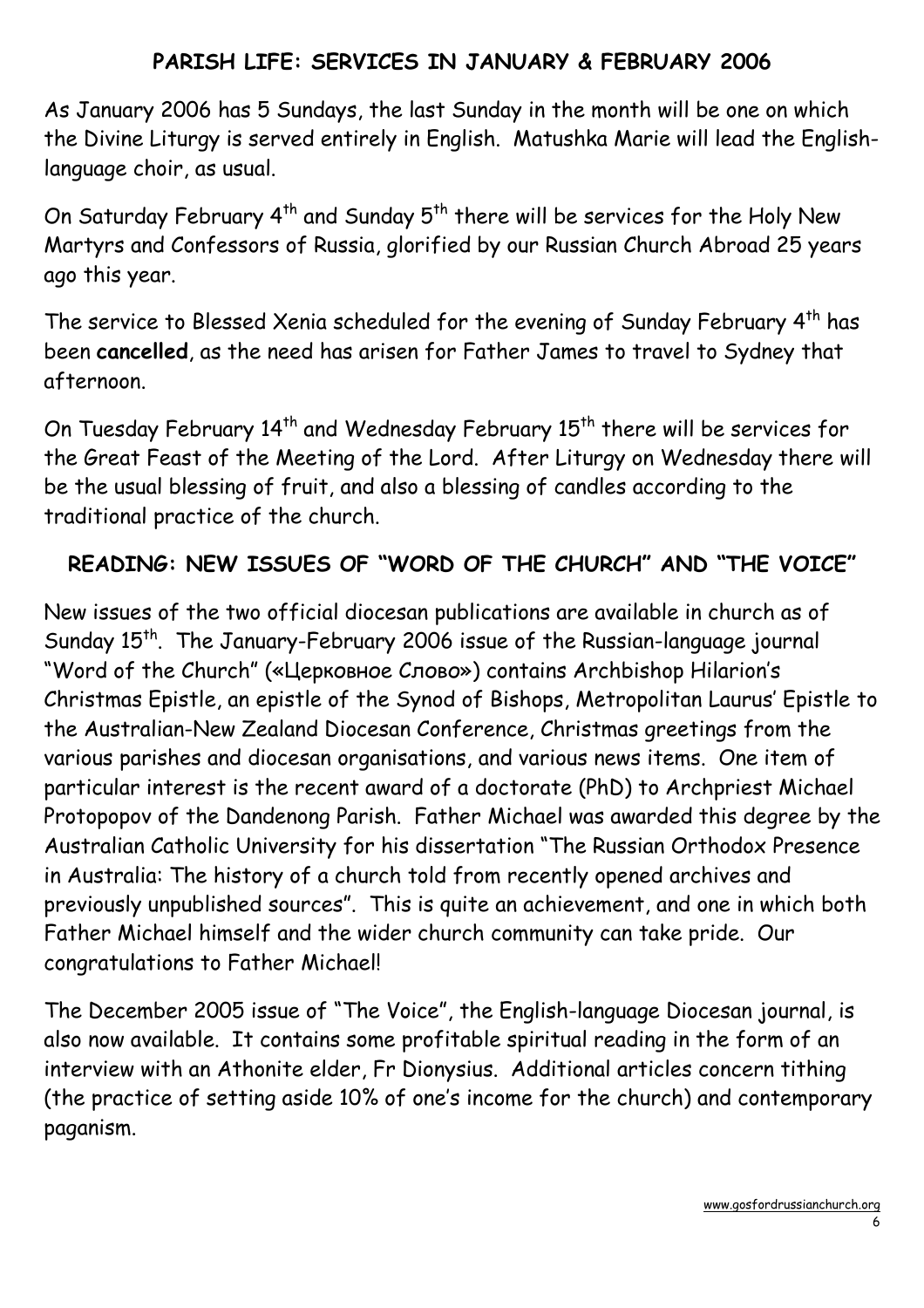#### PARISH LIFE: SERVICES IN JANUARY & FEBRUARY 2006

As January 2006 has 5 Sundays, the last Sunday in the month will be one on which the Divine Liturgy is served entirely in English. Matushka Marie will lead the Englishlanguage choir, as usual.

On Saturday February 4<sup>th</sup> and Sunday 5<sup>th</sup> there will be services for the Holy New Martyrs and Confessors of Russia, glorified by our Russian Church Abroad 25 years ago this year.

The service to Blessed Xenia scheduled for the evening of Sunday February 4<sup>th</sup> has been cancelled, as the need has arisen for Father James to travel to Sydney that afternoon.

On Tuesday February 14<sup>th</sup> and Wednesday February 15<sup>th</sup> there will be services for the Great Feast of the Meeting of the Lord. After Liturgy on Wednesday there will be the usual blessing of fruit, and also a blessing of candles according to the traditional practice of the church.

## READING: NEW ISSUES OF "WORD OF THE CHURCH" AND "THE VOICE"

New issues of the two official diocesan publications are available in church as of Sunday 15<sup>th</sup>. The January-February 2006 issue of the Russian-language journal "Word of the Church" («Церковное Слово») contains Archbishop Hilarion's Christmas Epistle, an epistle of the Synod of Bishops, Metropolitan Laurus' Epistle to the Australian-New Zealand Diocesan Conference, Christmas greetings from the various parishes and diocesan organisations, and various news items. One item of particular interest is the recent award of a doctorate (PhD) to Archpriest Michael Protopopov of the Dandenong Parish. Father Michael was awarded this degree by the Australian Catholic University for his dissertation "The Russian Orthodox Presence in Australia: The history of a church told from recently opened archives and previously unpublished sources". This is quite an achievement, and one in which both Father Michael himself and the wider church community can take pride. Our congratulations to Father Michael!

The December 2005 issue of "The Voice", the English-language Diocesan journal, is also now available. It contains some profitable spiritual reading in the form of an interview with an Athonite elder, Fr Dionysius. Additional articles concern tithing (the practice of setting aside 10% of one's income for the church) and contemporary paganism.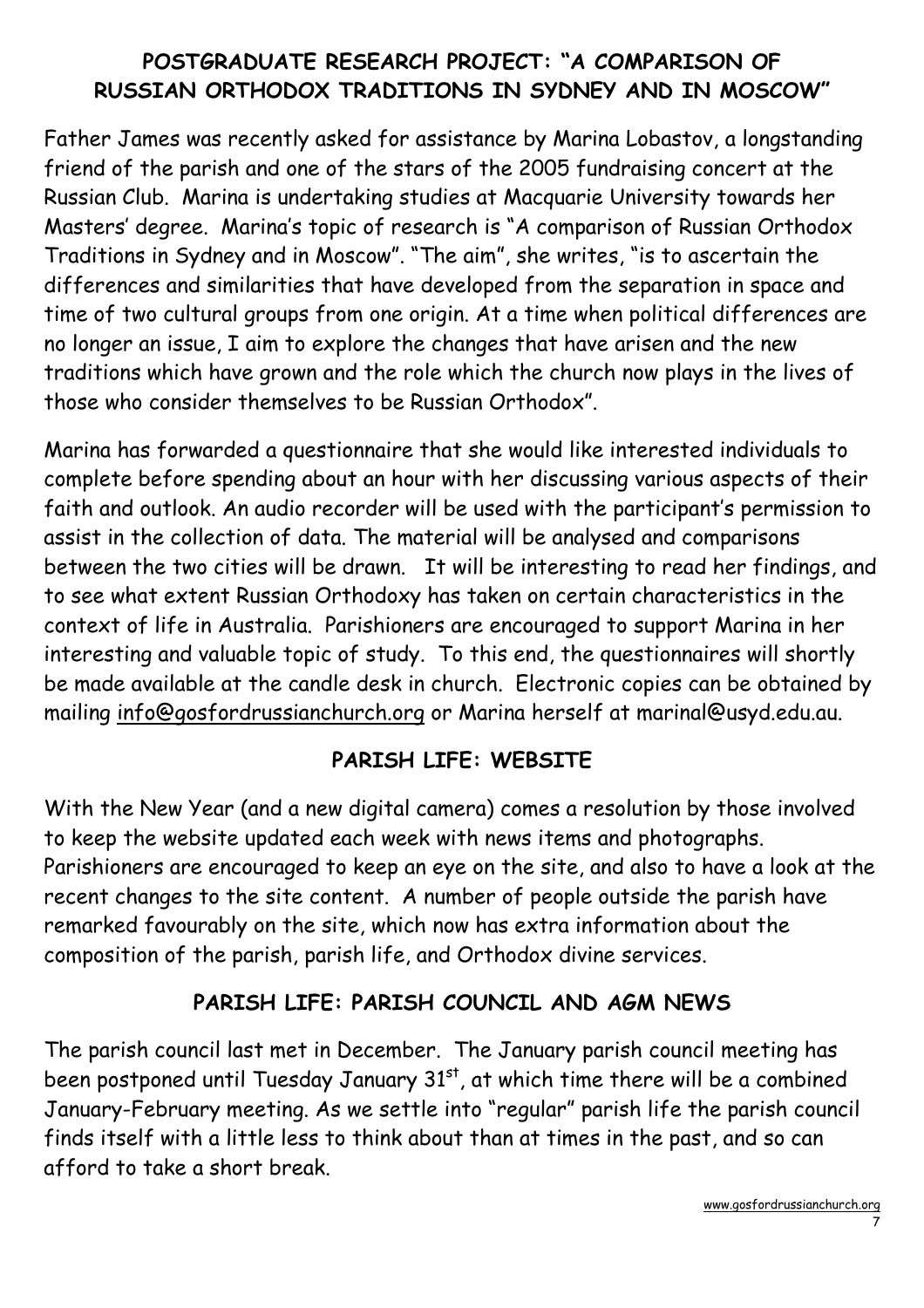# POSTGRADUATE RESEARCH PROJECT: "A COMPARISON OF RUSSIAN ORTHODOX TRADITIONS IN SYDNEY AND IN MOSCOW"

Father James was recently asked for assistance by Marina Lobastov, a longstanding friend of the parish and one of the stars of the 2005 fundraising concert at the Russian Club. Marina is undertaking studies at Macquarie University towards her Masters' degree. Marina's topic of research is "A comparison of Russian Orthodox Traditions in Sydney and in Moscow". "The aim", she writes, "is to ascertain the differences and similarities that have developed from the separation in space and time of two cultural groups from one origin. At a time when political differences are no longer an issue, I aim to explore the changes that have arisen and the new traditions which have grown and the role which the church now plays in the lives of those who consider themselves to be Russian Orthodox".

Marina has forwarded a questionnaire that she would like interested individuals to complete before spending about an hour with her discussing various aspects of their faith and outlook. An audio recorder will be used with the participant's permission to assist in the collection of data. The material will be analysed and comparisons between the two cities will be drawn. It will be interesting to read her findings, and to see what extent Russian Orthodoxy has taken on certain characteristics in the context of life in Australia. Parishioners are encouraged to support Marina in her interesting and valuable topic of study. To this end, the questionnaires will shortly be made available at the candle desk in church. Electronic copies can be obtained by mailing info@gosfordrussianchurch.org or Marina herself at marinal@usyd.edu.au.

#### PARISH LIFE: WEBSITE

With the New Year (and a new digital camera) comes a resolution by those involved to keep the website updated each week with news items and photographs. Parishioners are encouraged to keep an eye on the site, and also to have a look at the recent changes to the site content. A number of people outside the parish have remarked favourably on the site, which now has extra information about the composition of the parish, parish life, and Orthodox divine services.

#### PARISH LIFE: PARISH COUNCIL AND AGM NEWS

The parish council last met in December. The January parish council meeting has been postponed until Tuesday January 31<sup>st</sup>, at which time there will be a combined January-February meeting. As we settle into "regular" parish life the parish council finds itself with a little less to think about than at times in the past, and so can afford to take a short break.